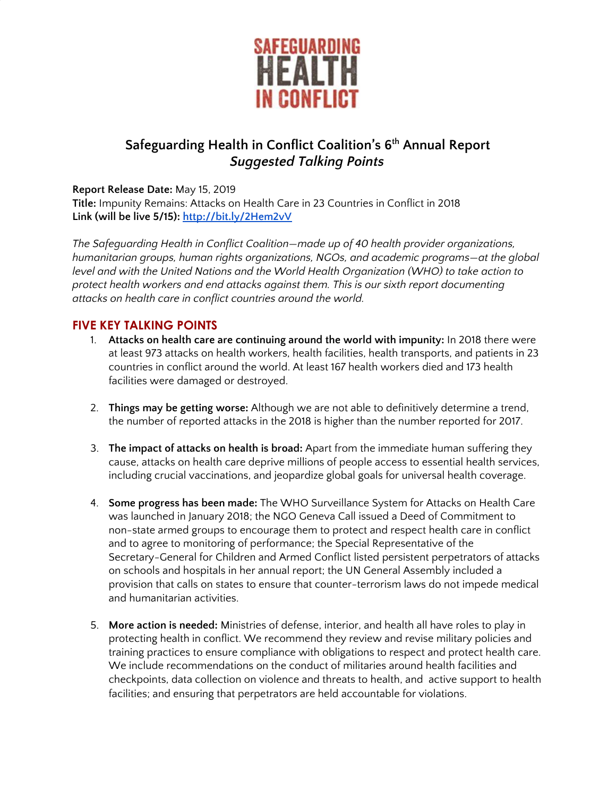

# **Safeguarding Health in Conflict Coalition's 6 th Annual Report** *Suggested Talking Points*

#### **Report Release Date:** May 15, 2019

**Title:** Impunity Remains: Attacks on Health Care in 23 Countries in Conflict in 2018 **Link (will be live 5/15): <http://bit.ly/2Hem2vV>**

*The Safeguarding Health in Conflict Coalition—made up of 40 health provider organizations, humanitarian groups, human rights organizations, NGOs, and academic programs—at the global level and with the United Nations and the World Health Organization (WHO) to take action to protect health workers and end attacks against them. This is our sixth report documenting attacks on health care in conflict countries around the world.*

#### **FIVE KEY TALKING POINTS**

- 1. **Attacks on health care are continuing around the world with impunity:** In 2018 there were at least 973 attacks on health workers, health facilities, health transports, and patients in 23 countries in conflict around the world. At least 167 health workers died and 173 health facilities were damaged or destroyed.
- 2. **Things may be getting worse:** Although we are not able to definitively determine a trend, the number of reported attacks in the 2018 is higher than the number reported for 2017.
- 3. **The impact of attacks on health is broad:** Apart from the immediate human suffering they cause, attacks on health care deprive millions of people access to essential health services, including crucial vaccinations, and jeopardize global goals for universal health coverage.
- 4. **Some progress has been made:** The WHO Surveillance System for Attacks on Health Care was launched in January 2018; the NGO Geneva Call issued a Deed of Commitment to non-state armed groups to encourage them to protect and respect health care in conflict and to agree to monitoring of performance; the Special Representative of the Secretary-General for Children and Armed Conflict listed persistent perpetrators of attacks on schools and hospitals in her annual report; the UN General Assembly included a provision that calls on states to ensure that counter-terrorism laws do not impede medical and humanitarian activities.
- 5. **More action is needed:** Ministries of defense, interior, and health all have roles to play in protecting health in conflict. We recommend they review and revise military policies and training practices to ensure compliance with obligations to respect and protect health care. We include recommendations on the conduct of militaries around health facilities and checkpoints, data collection on violence and threats to health, and active support to health facilities; and ensuring that perpetrators are held accountable for violations.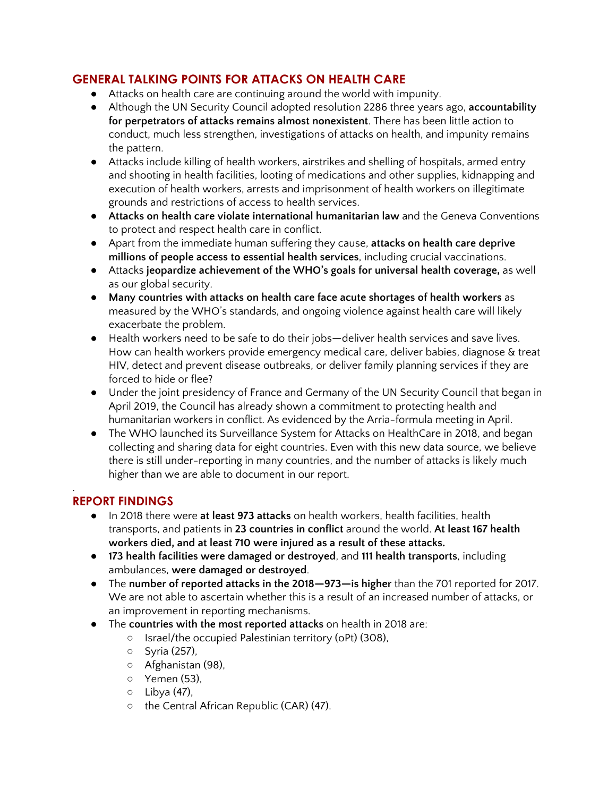### **GENERAL TALKING POINTS FOR ATTACKS ON HEALTH CARE**

- Attacks on health care are continuing around the world with impunity.
- Although the UN Security Council adopted resolution 2286 three years ago, **accountability for perpetrators of attacks remains almost nonexistent**. There has been little action to conduct, much less strengthen, investigations of attacks on health, and impunity remains the pattern.
- Attacks include killing of health workers, airstrikes and shelling of hospitals, armed entry and shooting in health facilities, looting of medications and other supplies, kidnapping and execution of health workers, arrests and imprisonment of health workers on illegitimate grounds and restrictions of access to health services.
- **Attacks on health care violate international humanitarian law** and the Geneva Conventions to protect and respect health care in conflict.
- Apart from the immediate human suffering they cause, **attacks on health care deprive millions of people access to essential health services**, including crucial vaccinations.
- Attacks **jeopardize achievement of the WHO's goals for universal health coverage,** as well as our global security.
- **Many countries with attacks on health care face acute shortages of health workers** as measured by the WHO's standards, and ongoing violence against health care will likely exacerbate the problem.
- Health workers need to be safe to do their jobs—deliver health services and save lives. How can health workers provide emergency medical care, deliver babies, diagnose & treat HIV, detect and prevent disease outbreaks, or deliver family planning services if they are forced to hide or flee?
- Under the joint presidency of France and Germany of the UN Security Council that began in April 2019, the Council has already shown a commitment to protecting health and humanitarian workers in conflict. As evidenced by the Arria-formula meeting in April.
- The WHO launched its Surveillance System for Attacks on HealthCare in 2018, and began collecting and sharing data for eight countries. Even with this new data source, we believe there is still under-reporting in many countries, and the number of attacks is likely much higher than we are able to document in our report.

#### . **REPORT FINDINGS**

- In 2018 there were **at least 973 attacks** on health workers, health facilities, health transports, and patients in **23 countries in conflict** around the world. **At least 167 health workers died, and at least 710 were injured as a result of these attacks.**
- **● 173 health facilities were damaged or destroyed**, and **111 health transports**, including ambulances, **were damaged or destroyed**.
- The **number of reported attacks in the 2018—973—is higher** than the 701 reported for 2017. We are not able to ascertain whether this is a result of an increased number of attacks, or an improvement in reporting mechanisms.
- The **countries with the most reported attacks** on health in 2018 are:
	- Israel/the occupied Palestinian territory (oPt) (308),
	- Syria (257),
	- Afghanistan (98),
	- Yemen (53),
	- Libya (47),
	- the Central African Republic (CAR) (47).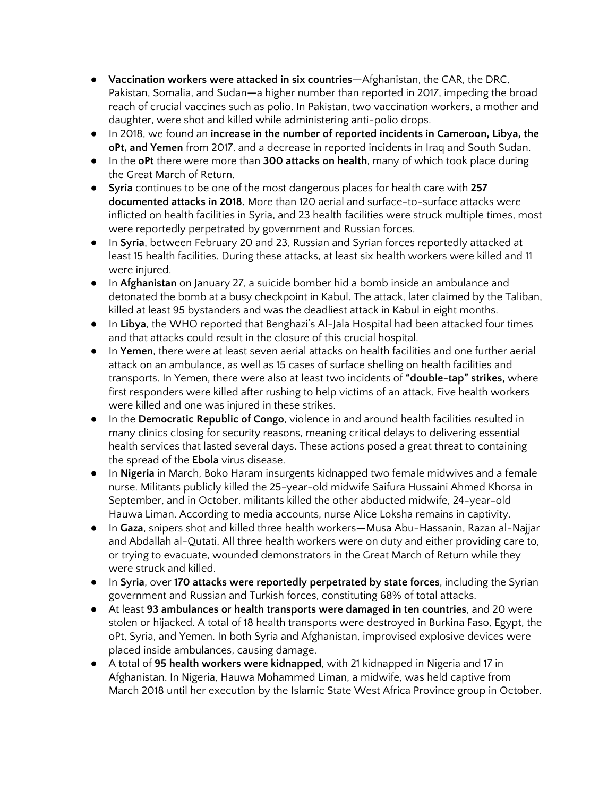- **Vaccination workers were attacked in six countries**—Afghanistan, the CAR, the DRC, Pakistan, Somalia, and Sudan—a higher number than reported in 2017, impeding the broad reach of crucial vaccines such as polio. In Pakistan, two vaccination workers, a mother and daughter, were shot and killed while administering anti-polio drops.
- In 2018, we found an **increase in the number of reported incidents in Cameroon, Libya, the oPt, and Yemen** from 2017, and a decrease in reported incidents in Iraq and South Sudan.
- In the **oPt** there were more than **300 attacks on health**, many of which took place during the Great March of Return.
- **Syria** continues to be one of the most dangerous places for health care with **257 documented attacks in 2018.** More than 120 aerial and surface-to-surface attacks were inflicted on health facilities in Syria, and 23 health facilities were struck multiple times, most were reportedly perpetrated by government and Russian forces.
- In **Syria**, between February 20 and 23, Russian and Syrian forces reportedly attacked at least 15 health facilities. During these attacks, at least six health workers were killed and 11 were injured.
- In **Afghanistan** on January 27, a suicide bomber hid a bomb inside an ambulance and detonated the bomb at a busy checkpoint in Kabul. The attack, later claimed by the Taliban, killed at least 95 bystanders and was the deadliest attack in Kabul in eight months.
- In **Libya**, the WHO reported that Benghazi's Al-Jala Hospital had been attacked four times and that attacks could result in the closure of this crucial hospital.
- In **Yemen**, there were at least seven aerial attacks on health facilities and one further aerial attack on an ambulance, as well as 15 cases of surface shelling on health facilities and transports. In Yemen, there were also at least two incidents of **"double-tap" strikes,** where first responders were killed after rushing to help victims of an attack. Five health workers were killed and one was injured in these strikes.
- In the **Democratic Republic of Congo**, violence in and around health facilities resulted in many clinics closing for security reasons, meaning critical delays to delivering essential health services that lasted several days. These actions posed a great threat to containing the spread of the **Ebola** virus disease.
- In **Nigeria** in March, Boko Haram insurgents kidnapped two female midwives and a female nurse. Militants publicly killed the 25-year-old midwife Saifura Hussaini Ahmed Khorsa in September, and in October, militants killed the other abducted midwife, 24-year-old Hauwa Liman. According to media accounts, nurse Alice Loksha remains in captivity.
- In **Gaza**, snipers shot and killed three health workers—Musa Abu-Hassanin, Razan al-Najjar and Abdallah al-Qutati. All three health workers were on duty and either providing care to, or trying to evacuate, wounded demonstrators in the Great March of Return while they were struck and killed.
- In **Syria**, over **170 attacks were reportedly perpetrated by state forces**, including the Syrian government and Russian and Turkish forces, constituting 68% of total attacks.
- At least **93 ambulances or health transports were damaged in ten countries**, and 20 were stolen or hijacked. A total of 18 health transports were destroyed in Burkina Faso, Egypt, the oPt, Syria, and Yemen. In both Syria and Afghanistan, improvised explosive devices were placed inside ambulances, causing damage.
- A total of **95 health workers were kidnapped**, with 21 kidnapped in Nigeria and 17 in Afghanistan. In Nigeria, Hauwa Mohammed Liman, a midwife, was held captive from March 2018 until her execution by the Islamic State West Africa Province group in October.